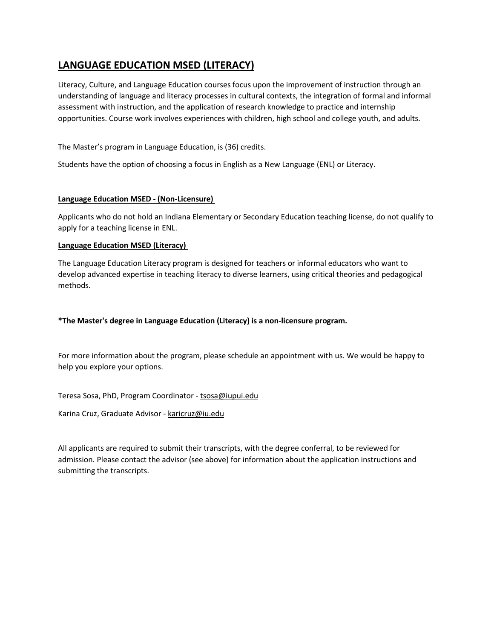# **LANGUAGE EDUCATION MSED (LITERACY)**

Literacy, Culture, and Language Education courses focus upon the improvement of instruction through an understanding of language and literacy processes in cultural contexts, the integration of formal and informal assessment with instruction, and the application of research knowledge to practice and internship opportunities. Course work involves experiences with children, high school and college youth, and adults.

The Master's program in Language Education, is (36) credits.

Students have the option of choosing a focus in English as a New Language (ENL) or Literacy.

# **Language Education MSED - (Non-Licensure)**

Applicants who do not hold an Indiana Elementary or Secondary Education teaching license, do not qualify to apply for a teaching license in ENL.

# **Language Education MSED (Literacy)**

The Language Education Literacy program is designed for teachers or informal educators who want to develop advanced expertise in teaching literacy to diverse learners, using critical theories and pedagogical methods.

# **\*The Master's degree in Language Education (Literacy) is a non-licensure program.**

For more information about the program, please schedule an appointment with us. We would be happy to help you explore your options.

Teresa Sosa, PhD, Program Coordinator - [tsosa@iupui.edu](mailto:tsosa@iupui.edu)

Karina Cruz, Graduate Advisor - [karicruz@iu.edu](mailto:karicruz@iu.edu)

All applicants are required to submit their transcripts, with the degree conferral, to be reviewed for admission. Please contact the advisor (see above) for information about the application instructions and submitting the transcripts.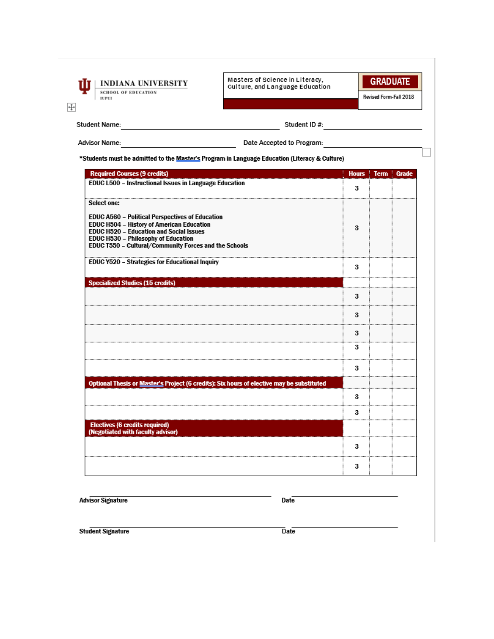

Masters of Science in Literacy,<br>Culture, and Language Education



Revised Form-Fall 2018

 $\ddot{\ddagger}$ 

**Student Name:** 

 $\frac{1}{2}$  Student ID #:

Advisor Name:

Date Accepted to Program:

\*Students must be admitted to the Master's Program in Language Education (Literacy & Culture)

| <b>Required Courses (9 credits)</b>                                                                                                                                                                                                            | <b>Hours</b> | <b>Term Grade</b> |
|------------------------------------------------------------------------------------------------------------------------------------------------------------------------------------------------------------------------------------------------|--------------|-------------------|
| EDUC L500 - Instructional Issues in Language Education                                                                                                                                                                                         | 3            |                   |
| Select one:                                                                                                                                                                                                                                    |              |                   |
| EDUC A560 - Political Perspectives of Education<br>EDUC H504 - History of American Education<br><b>EDUC H520 - Education and Social Issues</b><br>EDUC H530 - Philosophy of Education<br>EDUC T550 - Cultural/Community Forces and the Schools | з            |                   |
| <b>EDUC Y520 - Strategies for Educational Inquiry</b>                                                                                                                                                                                          | 3            |                   |
| <b>Specialized Studies (15 credits)</b>                                                                                                                                                                                                        |              |                   |
|                                                                                                                                                                                                                                                | 3            |                   |
|                                                                                                                                                                                                                                                | 3            |                   |
|                                                                                                                                                                                                                                                | 3            |                   |
|                                                                                                                                                                                                                                                | 3            |                   |
|                                                                                                                                                                                                                                                | 3            |                   |
| Optional Thesis or Master's Project (6 credits): Six hours of elective may be substituted                                                                                                                                                      |              |                   |
|                                                                                                                                                                                                                                                | з            |                   |
|                                                                                                                                                                                                                                                | 3            |                   |
| <b>Electives (6 credits required)</b><br>(Negotiated with faculty advisor)                                                                                                                                                                     |              |                   |
|                                                                                                                                                                                                                                                | 3            |                   |
|                                                                                                                                                                                                                                                | з            |                   |

**Advisor Signature** 

Date

**Student Signature** 

 $\overline{Date}$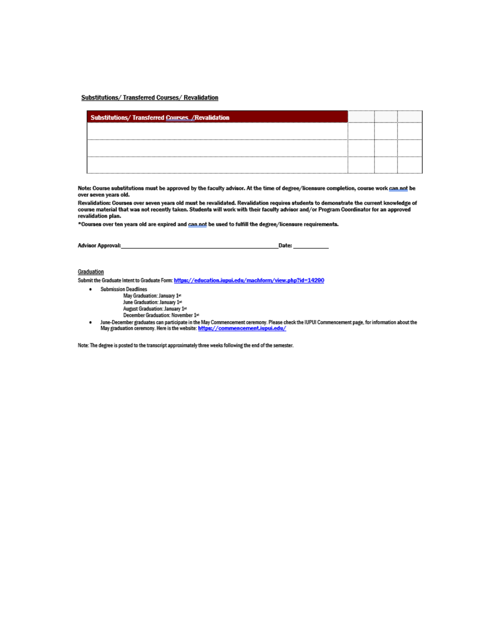#### Substitutions/ Transferred Courses/ Revalidation

| <b>Substitutions/Transferred Courses /Revalidation</b> |  |  |
|--------------------------------------------------------|--|--|
|                                                        |  |  |
|                                                        |  |  |
|                                                        |  |  |
|                                                        |  |  |

Note: Course substitutions must be approved by the faculty advisor. At the time of degree/licensure completion, course work can not be over seven years old.

Revalidation: Courses over seven years old must be revalidated. Revalidation requires students to demonstrate the current knowledge of<br>course material that was not recently taken. Students will work with their faculty advi revalidation plan.

\*Courses over ten years old are expired and can not be used to fulfill the degree/licensure requirements.

| Advisor Approval: |  |  |
|-------------------|--|--|
|                   |  |  |

#### Graduation

Submit the Graduate Intent to Graduate Form: https://education.iupui.edu/machform/view.php?id=14290

- · Submission Deadlines May Graduation: January 1st June Graduation: January 1st August Graduation: January 1st December Graduation: November 1st
- June-December graduates can participate in the May Commencement ceremony. Please check the IUPUI Commencement page, for information about the<br>May graduation ceremony. Here is the website: https://commencement.iupui.edu/  $\bullet$

Note: The degree is posted to the transcript approximately three weeks following the end of the semester.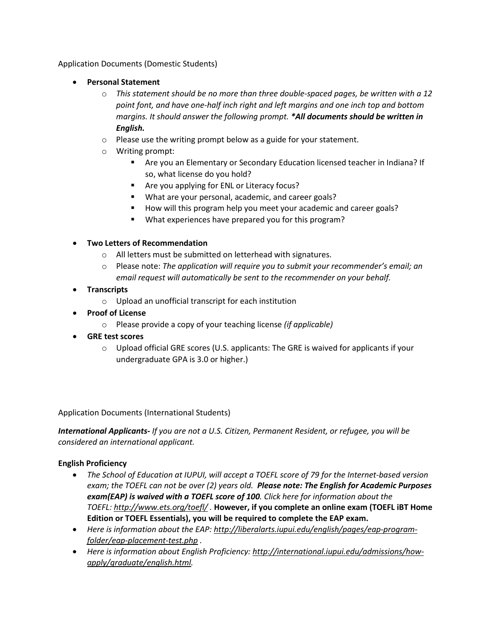Application Documents (Domestic Students)

- **Personal Statement**
	- o *This statement should be no more than three double-spaced pages, be written with a 12 point font, and have one-half inch right and left margins and one inch top and bottom margins. It should answer the following prompt. \*All documents should be written in English.*
	- o Please use the writing prompt below as a guide for your statement.
	- o Writing prompt:
		- Are you an Elementary or Secondary Education licensed teacher in Indiana? If so, what license do you hold?
		- **Are you applying for ENL or Literacy focus?**
		- What are your personal, academic, and career goals?
		- How will this program help you meet your academic and career goals?
		- What experiences have prepared you for this program?

# • **Two Letters of Recommendation**

- o All letters must be submitted on letterhead with signatures.
- o Please note: *The application will require you to submit your recommender's email; an email request will automatically be sent to the recommender on your behalf.*
- **Transcripts** 
	- o Upload an unofficial transcript for each institution
- **Proof of License** 
	- o Please provide a copy of your teaching license *(if applicable)*
- **GRE test scores** 
	- o Upload official GRE scores (U.S. applicants: The GRE is waived for applicants if your undergraduate GPA is 3.0 or higher.)

Application Documents (International Students)

*International Applicants- If you are not a U.S. Citizen, Permanent Resident, or refugee, you will be considered an international applicant.*

# **English Proficiency**

- *The School of Education at IUPUI, will accept a TOEFL score of 79 for the Internet-based version exam; the TOEFL can not be over (2) years old. Please note: The English for Academic Purposes exam(EAP) is waived with a TOEFL score of 100. Click here for information about the TOEFL: <http://www.ets.org/toefl/> .* **However, if you complete an online exam (TOEFL iBT Home Edition or TOEFL Essentials), you will be required to complete the EAP exam.**
- *Here is information about the EAP: [http://liberalarts.iupui.edu/english/pages/eap-program](http://liberalarts.iupui.edu/english/pages/eap-program-folder/eap-placement-test.php)[folder/eap-placement-test.php](http://liberalarts.iupui.edu/english/pages/eap-program-folder/eap-placement-test.php) .*
- *Here is information about English Proficiency: [http://international.iupui.edu/admissions/how](http://international.iupui.edu/admissions/how-apply/graduate/english.html)[apply/graduate/english.html.](http://international.iupui.edu/admissions/how-apply/graduate/english.html)*